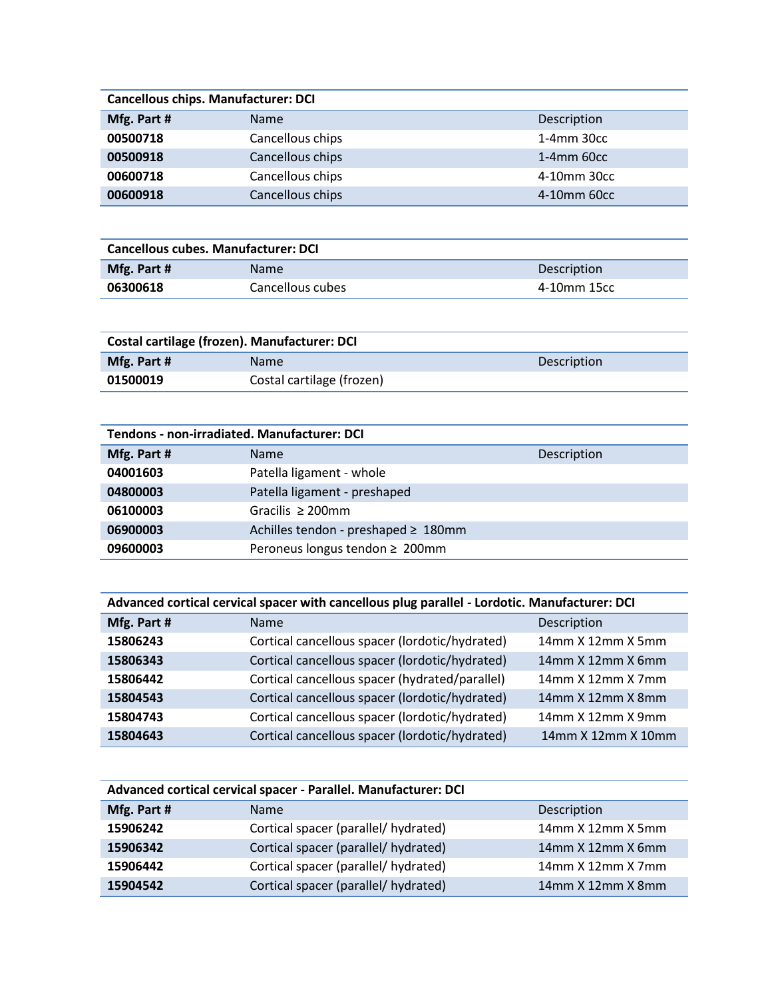| <b>Cancellous chips. Manufacturer: DCI</b> |                  |                  |
|--------------------------------------------|------------------|------------------|
| Mfg. Part #                                | <b>Name</b>      | Description      |
| 00500718                                   | Cancellous chips | $1-4$ mm $30cc$  |
| 00500918                                   | Cancellous chips | $1-4$ mm 60 $cc$ |
| 00600718                                   | Cancellous chips | 4-10mm 30cc      |
| 00600918                                   | Cancellous chips | 4-10mm 60cc      |

| <b>Cancellous cubes. Manufacturer: DCI</b> |                  |             |
|--------------------------------------------|------------------|-------------|
| Mfg. Part #                                | <b>Name</b>      | Description |
| 06300618                                   | Cancellous cubes | 4-10mm 15cc |

| Costal cartilage (frozen). Manufacturer: DCI |                           |             |
|----------------------------------------------|---------------------------|-------------|
| Mfg. Part #                                  | <b>Name</b>               | Description |
| 01500019                                     | Costal cartilage (frozen) |             |

| <b>Tendons - non-irradiated. Manufacturer: DCI</b> |                                     |             |  |
|----------------------------------------------------|-------------------------------------|-------------|--|
| Mfg. Part #                                        | <b>Name</b>                         | Description |  |
| 04001603                                           | Patella ligament - whole            |             |  |
| 04800003                                           | Patella ligament - preshaped        |             |  |
| 06100003                                           | Gracilis $\geq 200$ mm              |             |  |
| 06900003                                           | Achilles tendon - preshaped ≥ 180mm |             |  |
| 09600003                                           | Peroneus longus tendon ≥ 200mm      |             |  |

| Advanced cortical cervical spacer with cancellous plug parallel - Lordotic. Manufacturer: DCI |                                                |                          |
|-----------------------------------------------------------------------------------------------|------------------------------------------------|--------------------------|
| Mfg. Part #                                                                                   | <b>Name</b>                                    | Description              |
| 15806243                                                                                      | Cortical cancellous spacer (lordotic/hydrated) | $14$ mm $X$ 12mm $X$ 5mm |
| 15806343                                                                                      | Cortical cancellous spacer (lordotic/hydrated) | 14mm X 12mm X 6mm        |
| 15806442                                                                                      | Cortical cancellous spacer (hydrated/parallel) | $14$ mm $X$ 12mm $X$ 7mm |
| 15804543                                                                                      | Cortical cancellous spacer (lordotic/hydrated) | 14mm X 12mm X 8mm        |
| 15804743                                                                                      | Cortical cancellous spacer (lordotic/hydrated) | 14mm X 12mm X 9mm        |
| 15804643                                                                                      | Cortical cancellous spacer (lordotic/hydrated) | 14mm X 12mm X 10mm       |

| Advanced cortical cervical spacer - Parallel. Manufacturer: DCI |                                      |                          |
|-----------------------------------------------------------------|--------------------------------------|--------------------------|
| Mfg. Part #                                                     | <b>Name</b>                          | Description              |
| 15906242                                                        | Cortical spacer (parallel/ hydrated) | 14mm X 12mm X 5mm        |
| 15906342                                                        | Cortical spacer (parallel/ hydrated) | 14mm X 12mm X 6mm        |
| 15906442                                                        | Cortical spacer (parallel/ hydrated) | $14$ mm $X$ 12mm $X$ 7mm |
| 15904542                                                        | Cortical spacer (parallel/ hydrated) | 14mm X 12mm X 8mm        |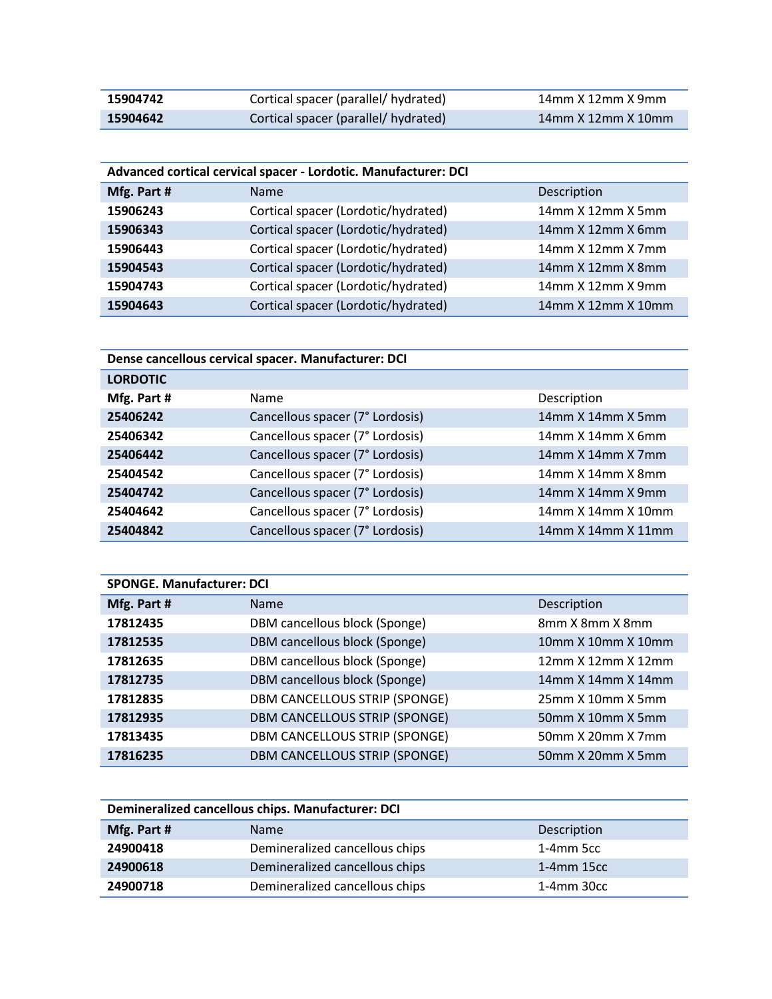| 15904742 | Cortical spacer (parallel/ hydrated) | 14mm X 12mm X 9mm  |
|----------|--------------------------------------|--------------------|
| 15904642 | Cortical spacer (parallel/ hydrated) | 14mm X 12mm X 10mm |

| Advanced cortical cervical spacer - Lordotic. Manufacturer: DCI |                                     |                    |
|-----------------------------------------------------------------|-------------------------------------|--------------------|
| Mfg. Part #                                                     | <b>Name</b>                         | Description        |
| 15906243                                                        | Cortical spacer (Lordotic/hydrated) | 14mm X 12mm X 5mm  |
| 15906343                                                        | Cortical spacer (Lordotic/hydrated) | 14mm X 12mm X 6mm  |
| 15906443                                                        | Cortical spacer (Lordotic/hydrated) | 14mm X 12mm X 7mm  |
| 15904543                                                        | Cortical spacer (Lordotic/hydrated) | 14mm X 12mm X 8mm  |
| 15904743                                                        | Cortical spacer (Lordotic/hydrated) | 14mm X 12mm X 9mm  |
| 15904643                                                        | Cortical spacer (Lordotic/hydrated) | 14mm X 12mm X 10mm |

| Dense cancellous cervical spacer. Manufacturer: DCI |                                 |                          |
|-----------------------------------------------------|---------------------------------|--------------------------|
| <b>LORDOTIC</b>                                     |                                 |                          |
| Mfg. Part #                                         | Name                            | Description              |
| 25406242                                            | Cancellous spacer (7° Lordosis) | 14mm X 14mm X 5mm        |
| 25406342                                            | Cancellous spacer (7° Lordosis) | $14$ mm X $14$ mm X 6mm  |
| 25406442                                            | Cancellous spacer (7° Lordosis) | 14mm X 14mm X 7mm        |
| 25404542                                            | Cancellous spacer (7° Lordosis) | $14$ mm $X$ 14mm $X$ 8mm |
| 25404742                                            | Cancellous spacer (7° Lordosis) | $14$ mm $X$ 14mm $X$ 9mm |
| 25404642                                            | Cancellous spacer (7° Lordosis) | 14mm X 14mm X 10mm       |
| 25404842                                            | Cancellous spacer (7° Lordosis) | 14mm X 14mm X 11mm       |

| <b>SPONGE. Manufacturer: DCI</b> |                               |                    |
|----------------------------------|-------------------------------|--------------------|
| Mfg. Part #                      | <b>Name</b>                   | Description        |
| 17812435                         | DBM cancellous block (Sponge) | 8mm X 8mm X 8mm    |
| 17812535                         | DBM cancellous block (Sponge) | 10mm X 10mm X 10mm |
| 17812635                         | DBM cancellous block (Sponge) | 12mm X 12mm X 12mm |
| 17812735                         | DBM cancellous block (Sponge) | 14mm X 14mm X 14mm |
| 17812835                         | DBM CANCELLOUS STRIP (SPONGE) | 25mm X 10mm X 5mm  |
| 17812935                         | DBM CANCELLOUS STRIP (SPONGE) | 50mm X 10mm X 5mm  |
| 17813435                         | DBM CANCELLOUS STRIP (SPONGE) | 50mm X 20mm X 7mm  |
| 17816235                         | DBM CANCELLOUS STRIP (SPONGE) | 50mm X 20mm X 5mm  |

| Demineralized cancellous chips. Manufacturer: DCI |                                |             |
|---------------------------------------------------|--------------------------------|-------------|
| Mfg. Part #                                       | <b>Name</b>                    | Description |
| 24900418                                          | Demineralized cancellous chips | 1-4mm 5cc   |
| 24900618                                          | Demineralized cancellous chips | 1-4mm 15cc  |
| 24900718                                          | Demineralized cancellous chips | 1-4mm 30cc  |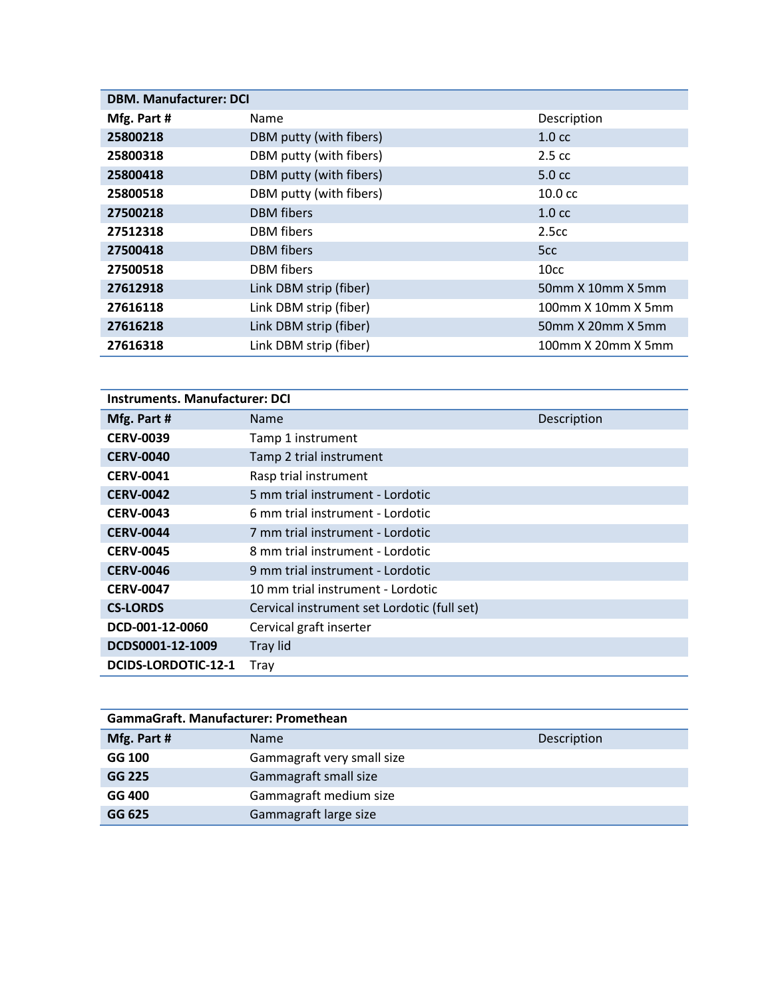| <b>DBM. Manufacturer: DCI</b> |                         |                    |
|-------------------------------|-------------------------|--------------------|
| Mfg. Part #                   | Name                    | Description        |
| 25800218                      | DBM putty (with fibers) | 1.0 <sub>cc</sub>  |
| 25800318                      | DBM putty (with fibers) | $2.5 \text{ cc}$   |
| 25800418                      | DBM putty (with fibers) | 5.0 <sub>cc</sub>  |
| 25800518                      | DBM putty (with fibers) | $10.0 \text{ cc}$  |
| 27500218                      | <b>DBM</b> fibers       | 1.0 <sub>cc</sub>  |
| 27512318                      | <b>DBM</b> fibers       | 2.5 <sub>cc</sub>  |
| 27500418                      | <b>DBM</b> fibers       | 5 <sub>cc</sub>    |
| 27500518                      | <b>DBM</b> fibers       | 10cc               |
| 27612918                      | Link DBM strip (fiber)  | 50mm X 10mm X 5mm  |
| 27616118                      | Link DBM strip (fiber)  | 100mm X 10mm X 5mm |
| 27616218                      | Link DBM strip (fiber)  | 50mm X 20mm X 5mm  |
| 27616318                      | Link DBM strip (fiber)  | 100mm X 20mm X 5mm |

| <b>Instruments. Manufacturer: DCI</b> |                                             |             |  |
|---------------------------------------|---------------------------------------------|-------------|--|
| Mfg. Part #                           | <b>Name</b>                                 | Description |  |
| <b>CERV-0039</b>                      | Tamp 1 instrument                           |             |  |
| <b>CERV-0040</b>                      | Tamp 2 trial instrument                     |             |  |
| <b>CERV-0041</b>                      | Rasp trial instrument                       |             |  |
| <b>CERV-0042</b>                      | 5 mm trial instrument - Lordotic            |             |  |
| <b>CERV-0043</b>                      | 6 mm trial instrument - Lordotic            |             |  |
| <b>CERV-0044</b>                      | 7 mm trial instrument - Lordotic            |             |  |
| <b>CERV-0045</b>                      | 8 mm trial instrument - Lordotic            |             |  |
| <b>CERV-0046</b>                      | 9 mm trial instrument - Lordotic            |             |  |
| <b>CERV-0047</b>                      | 10 mm trial instrument - Lordotic           |             |  |
| <b>CS-LORDS</b>                       | Cervical instrument set Lordotic (full set) |             |  |
| DCD-001-12-0060                       | Cervical graft inserter                     |             |  |
| DCDS0001-12-1009                      | Tray lid                                    |             |  |
| DCIDS-LORDOTIC-12-1                   | Tray                                        |             |  |

| GammaGraft, Manufacturer: Promethean |                            |             |  |
|--------------------------------------|----------------------------|-------------|--|
| Mfg. Part #                          | <b>Name</b>                | Description |  |
| GG 100                               | Gammagraft very small size |             |  |
| GG 225                               | Gammagraft small size      |             |  |
| GG 400                               | Gammagraft medium size     |             |  |
| GG 625                               | Gammagraft large size      |             |  |
|                                      |                            |             |  |